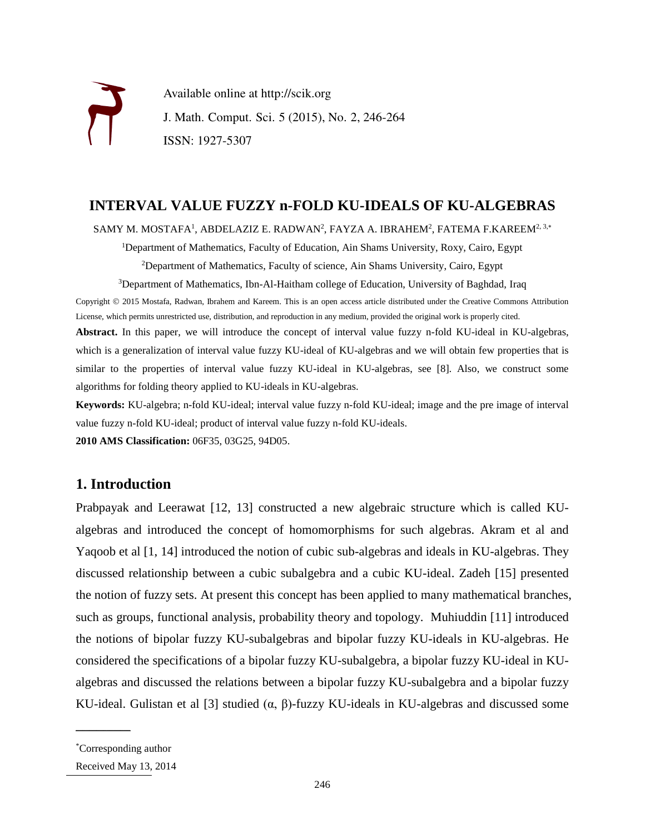

Available online at http://scik.org J. Math. Comput. Sci. 5 (2015), No. 2, 246-264 ISSN: 1927-5307

# **INTERVAL VALUE FUZZY n-FOLD KU-IDEALS OF KU-ALGEBRAS**

SAMY M. MOSTAFA $^1$ , ABDELAZIZ E. RADWAN $^2$ , FAYZA A. IBRAHEM $^2$ , FATEMA F.KAREEM $^{2,\,3,*}$ 

<sup>1</sup>Department of Mathematics, Faculty of Education, Ain Shams University, Roxy, Cairo, Egypt

<sup>2</sup>Department of Mathematics, Faculty of science, Ain Shams University, Cairo, Egypt

<sup>3</sup>Department of Mathematics, Ibn-Al-Haitham college of Education, University of Baghdad, Iraq

Copyright © 2015 Mostafa, Radwan, Ibrahem and Kareem. This is an open access article distributed under the Creative Commons Attribution License, which permits unrestricted use, distribution, and reproduction in any medium, provided the original work is properly cited. **Abstract.** In this paper, we will introduce the concept of interval value fuzzy n-fold KU-ideal in KU-algebras, which is a generalization of interval value fuzzy KU-ideal of KU-algebras and we will obtain few properties that is similar to the properties of interval value fuzzy KU-ideal in KU-algebras, see [8]. Also, we construct some algorithms for folding theory applied to KU-ideals in KU-algebras.

**Keywords:** KU-algebra; n-fold KU-ideal; interval value fuzzy n-fold KU-ideal; image and the pre image of interval value fuzzy n-fold KU-ideal; product of interval value fuzzy n-fold KU-ideals.

**2010 AMS Classification:** 06F35, 03G25, 94D05.

# **1. Introduction**

Prabpayak and Leerawat [12, 13] constructed a new algebraic structure which is called KUalgebras and introduced the concept of homomorphisms for such algebras. Akram et al and Yaqoob et al [1, 14] introduced the notion of cubic sub-algebras and ideals in KU-algebras. They discussed relationship between a cubic subalgebra and a cubic KU-ideal. Zadeh [15] presented the notion of fuzzy sets. At present this concept has been applied to many mathematical branches, such as groups, functional analysis, probability theory and topology. Muhiuddin [11] introduced the notions of bipolar fuzzy KU-subalgebras and bipolar fuzzy KU-ideals in KU-algebras. He considered the specifications of a bipolar fuzzy KU-subalgebra, a bipolar fuzzy KU-ideal in KUalgebras and discussed the relations between a bipolar fuzzy KU-subalgebra and a bipolar fuzzy KU-ideal. Gulistan et al [3] studied  $(\alpha, \beta)$ -fuzzy KU-ideals in KU-algebras and discussed some

 $\mathcal{L}$  , we are the set of the set of the set of the set of the set of the set of the set of the set of the set of the set of the set of the set of the set of the set of the set of the set of the set of the set of the s

<sup>\*</sup>Corresponding author

Received May 13, 2014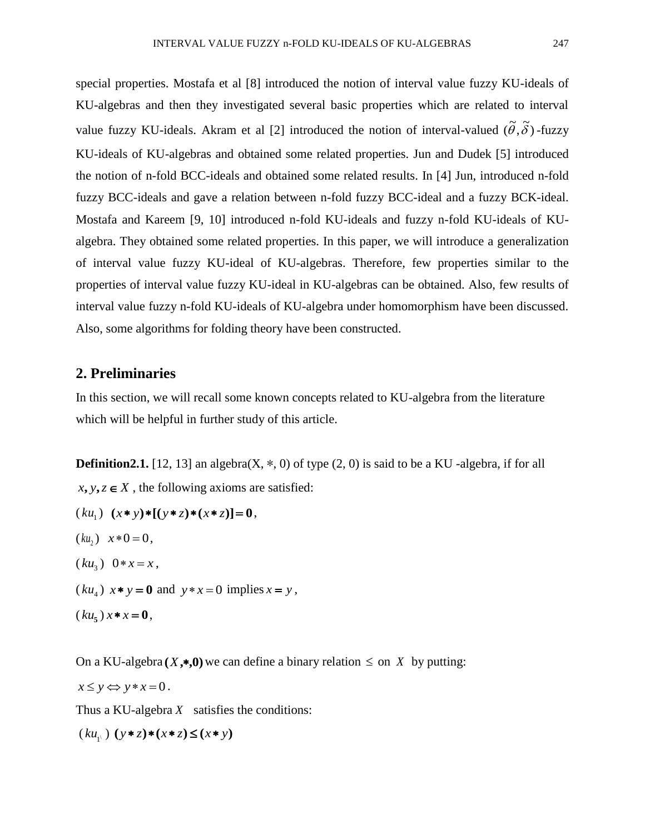special properties. Mostafa et al [8] introduced the notion of interval value fuzzy KU-ideals of KU-algebras and then they investigated several basic properties which are related to interval value fuzzy KU-ideals. Akram et al [2] introduced the notion of interval-valued  $(\tilde{\theta}, \tilde{\delta})$ -fuzzy KU-ideals of KU-algebras and obtained some related properties. Jun and Dudek [5] introduced the notion of n-fold BCC-ideals and obtained some related results. In [4] Jun, introduced n-fold fuzzy BCC-ideals and gave a relation between n-fold fuzzy BCC-ideal and a fuzzy BCK-ideal. Mostafa and Kareem [9, 10] introduced n-fold KU-ideals and fuzzy n-fold KU-ideals of KUalgebra. They obtained some related properties. In this paper, we will introduce a generalization of interval value fuzzy KU-ideal of KU-algebras. Therefore, few properties similar to the properties of interval value fuzzy KU-ideal in KU-algebras can be obtained. Also, few results of interval value fuzzy n-fold KU-ideals of KU-algebra under homomorphism have been discussed. Also, some algorithms for folding theory have been constructed.

## **2. Preliminaries**

In this section, we will recall some known concepts related to KU-algebra from the literature which will be helpful in further study of this article.

**Definition2.1.** [12, 13] an algebra( $X$ ,  $*$ , 0) of type (2, 0) is said to be a KU -algebra, if for all  $x, y, z \in X$ , the following axioms are satisfied:

- $(ku_1)$   $(x * y)*[(y * z)*(x * z)] = 0,$
- $(ku_2)$   $x * 0 = 0$ ,
- $(ku_3)$  0 \*  $x = x$ ,
- $(ku_4)$   $x * y = 0$  and  $y * x = 0$  implies  $x = y$ ,
- $(ku_5) x * x = 0,$

On a KU-algebra  $(X, *0)$  we can define a binary relation  $\leq$  on X by putting:  $x \leq y \Leftrightarrow y \leq x = 0$ .

Thus a KU-algebra  $X$  satisfies the conditions:

 $(ku_{1})$   $(y * z)*(x * z) \leq (x * y)$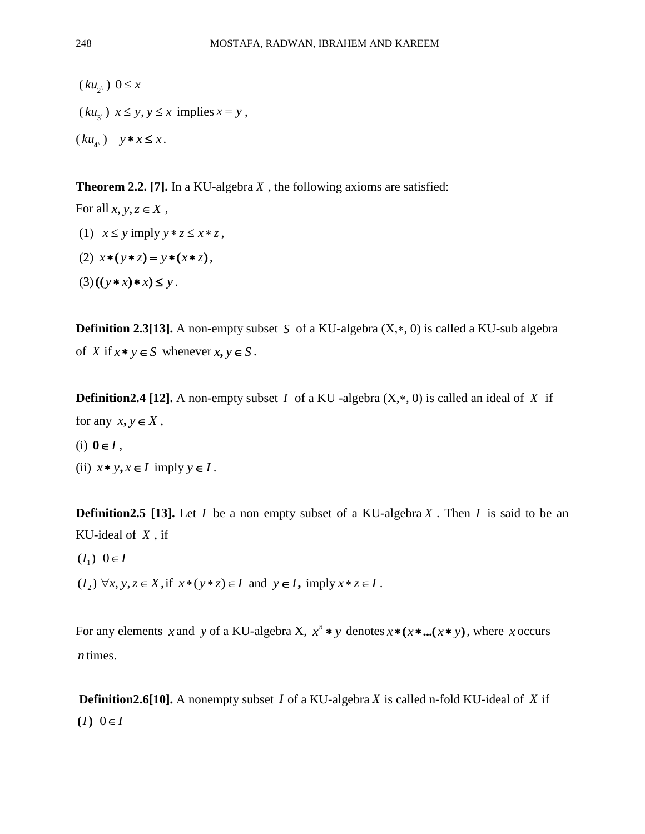$(ku_2)$   $0 \le x$  $(ku_{3})$   $x \leq y, y \leq x$  implies  $x = y$ ,  $(ku_{4})$   $y * x \leq x$ .

**Theorem 2.2. [7].** In a KU-algebra *X* , the following axioms are satisfied:

For all  $x, y, z \in X$ , (1)  $x \leq y$  imply  $y * z \leq x * z$ ,  $(x^*y) = y^*(x * z)$ ,  $(3)((y * x) * x) \leq y$ .

**Definition 2.3[13].** A non-empty subset S of a KU-algebra  $(X,*, 0)$  is called a KU-sub algebra of *X* if  $x * y \in S$  whenever  $x, y \in S$ .

**Definition 2.4** [12]. A non-empty subset *I* of a KU -algebra  $(X, *, 0)$  is called an ideal of *X* if for any  $x, y \in X$ ,

- $(i)$   $0 \in I$ ,
- (ii)  $x * y, x \in I$  imply  $y \in I$ .

**Definition 2.5** [13]. Let *I* be a non empty subset of a KU-algebra X. Then *I* is said to be an KU-ideal of *X* , if

 $(I_1) \ \ 0 \in I$ 

 $(I_2)$   $\forall x, y, z \in X$ , if  $x*(y*z) \in I$  and  $y \in I$ , imply  $x*z \in I$ .

For any elements *x* and *y* of a KU-algebra X,  $x^n * y$  denotes  $x * (x * ... (x * y))$ , where *x* occurs *n* times.

**Definition2.6[10].** A nonempty subset *I* of a KU-algebra *X* is called n-fold KU-ideal of *X* if  $(I)$   $0 \in I$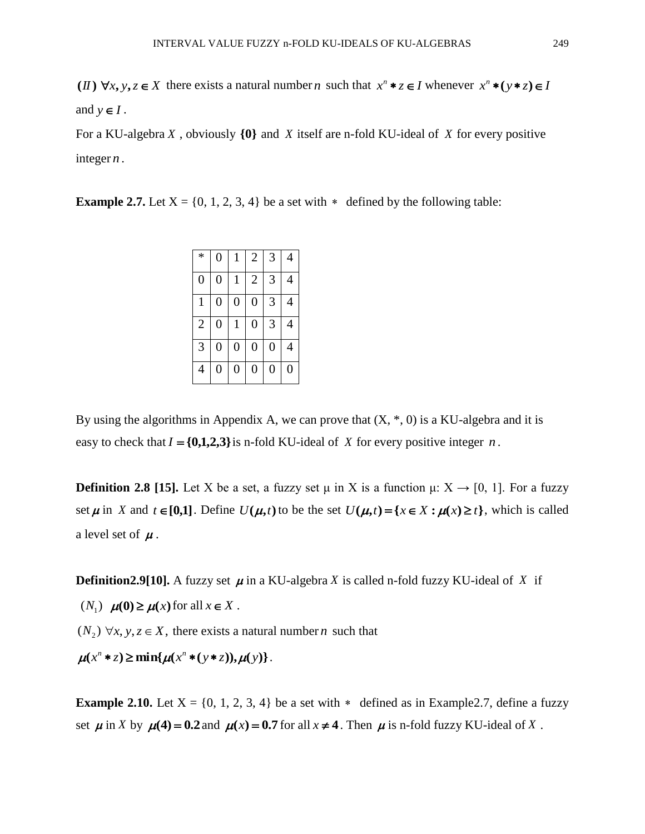(II)  $\forall x, y, z \in X$  there exists a natural number *n* such that  $x^n * z \in I$  whenever  $x^n * (y * z) \in I$ and  $y \in I$ .

For a KU-algebra X, obviously  $\{0\}$  and X itself are n-fold KU-ideal of X for every positive integer *n* .

**Example 2.7.** Let  $X = \{0, 1, 2, 3, 4\}$  be a set with  $*$  defined by the following table:

| $\ast$         | $\overline{0}$   |                | $\overline{2}$   | 3                | 4 |
|----------------|------------------|----------------|------------------|------------------|---|
| $\overline{0}$ | $\boldsymbol{0}$ |                | $\overline{2}$   | 3                | 4 |
| 1              | $\overline{0}$   | $\overline{0}$ | $\overline{0}$   | 3                | 4 |
| $\overline{2}$ | $\boldsymbol{0}$ | 1              | $\boldsymbol{0}$ | 3                | 4 |
| 3              | $\overline{0}$   | $\overline{0}$ | $\boldsymbol{0}$ | $\boldsymbol{0}$ | 4 |
| 4              | 0                | 0              | 0                | 0                | 0 |

By using the algorithms in Appendix A, we can prove that  $(X, *, 0)$  is a KU-algebra and it is easy to check that  $I = \{0,1,2,3\}$  is n-fold KU-ideal of X for every positive integer n.

**Definition 2.8 [15].** Let X be a set, a fuzzy set  $\mu$  in X is a function  $\mu: X \to [0, 1]$ . For a fuzzy set  $\mu$  in X and  $t \in [0,1]$ . Define  $U(\mu, t)$  to be the set  $U(\mu, t) = \{x \in X : \mu(x) \ge t\}$ , which is called a level set of  $\mu$ .

**Definition2.9[10].** A fuzzy set  $\mu$  in a KU-algebra X is called n-fold fuzzy KU-ideal of X if

 $(N_1)$   $\mu(0) \ge \mu(x)$  for all  $x \in X$ .

 $(N_2)$   $\forall x, y, z \in X$ , there exists a natural number *n* such that

 $\mu(x^n * z) \ge \min\{\mu(x^n * (y * z)), \mu(y)\}.$ 

**Example 2.10.** Let  $X = \{0, 1, 2, 3, 4\}$  be a set with  $*$  defined as in Example 2.7, define a fuzzy set  $\mu$  in X by  $\mu$ (4) = 0.2 and  $\mu$ (x) = 0.7 for all  $x \neq 4$ . Then  $\mu$  is n-fold fuzzy KU-ideal of X.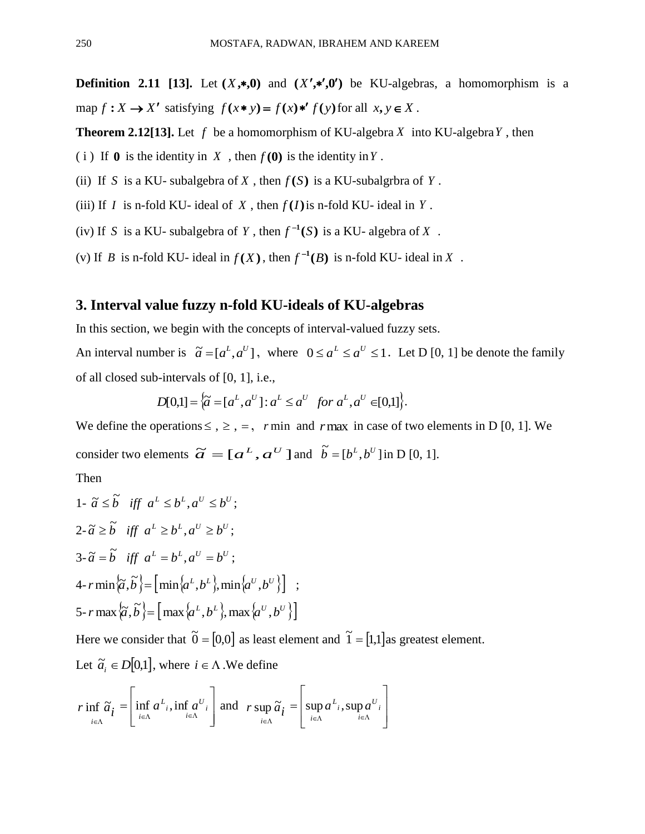**Definition 2.11 [13].** Let  $(X,*,0)$  and  $(X',*,0')$  be KU-algebras, a homomorphism is a map  $f: X \to X'$  satisfying  $f(x * y) = f(x) * f(y)$  for all  $x, y \in X$ .

**Theorem 2.12[13].** Let  $f$  be a homomorphism of KU-algebra  $X$  into KU-algebra  $Y$ , then

- (i) If  $\mathbf{0}$  is the identity in X, then  $f(\mathbf{0})$  is the identity in Y.
- (ii) If S is a KU- subalgebra of X, then  $f(S)$  is a KU-subalgrbra of Y.
- (iii) If *I* is n-fold KU- ideal of *X*, then  $f(I)$  is n-fold KU- ideal in *Y*.
- (iv) If S is a KU- subalgebra of Y, then  $f^{-1}(S)$  is a KU- algebra of X.
- (v) If *B* is n-fold KU- ideal in  $f(X)$ , then  $f^{-1}(B)$  is n-fold KU- ideal in X.

## **3. Interval value fuzzy n-fold KU-ideals of KU-algebras**

In this section, we begin with the concepts of interval-valued fuzzy sets.

An interval number is  $\tilde{a} = [a^L, a^U]$ , where  $0 \le a^L \le a^U \le 1$ . Let D [0, 1] be denote the family of all closed sub-intervals of [0, 1], i.e.,

$$
D[0,1] = \left\{ \widetilde{a} = [a^L, a^U] : a^L \le a^U \text{ for } a^L, a^U \in [0,1] \right\}.
$$

We define the operations  $\leq$ ,  $\geq$ ,  $=$ ,  $r$  min and  $r$  max in case of two elements in D [0, 1]. We consider two elements  $\widetilde{a} = [a^L, a^U]$  and  $\widetilde{b} = [b^L, b^U]$  in D [0, 1].

Then

1- 
$$
\tilde{a} \leq \tilde{b}
$$
 iff  $a^L \leq b^L, a^U \leq b^U$ ;  
\n2-  $\tilde{a} \geq \tilde{b}$  iff  $a^L \geq b^L, a^U \geq b^U$ ;  
\n3-  $\tilde{a} = \tilde{b}$  iff  $a^L = b^L, a^U = b^U$ ;  
\n4-  $r \min{\{\tilde{a}, \tilde{b}\}} = [\min{\{a^L, b^L\}}, \min{\{a^U, b^U\}}]$ ;  
\n5-  $r \max{\{\tilde{a}, \tilde{b}\}} = [\max{\{a^L, b^L\}}, \max{\{a^U, b^U\}}]$ 

Here we consider that  $\tilde{0} = [0,0]$  as least element and  $\tilde{1} = [1,1]$  as greatest element. Let  $\tilde{a}_i \in D[0,1]$ , where  $i \in \Lambda$ . We define

$$
r \inf_{i \in \Lambda} \widetilde{a}_{i} = \left[ \inf_{i \in \Lambda} a^{L} \inf_{i \in \Lambda} a^{U} \right] \text{ and } r \sup_{i \in \Lambda} \widetilde{a}_{i} = \left[ \sup_{i \in \Lambda} a^{L} \inf_{i \in \Lambda} a^{U} \right]
$$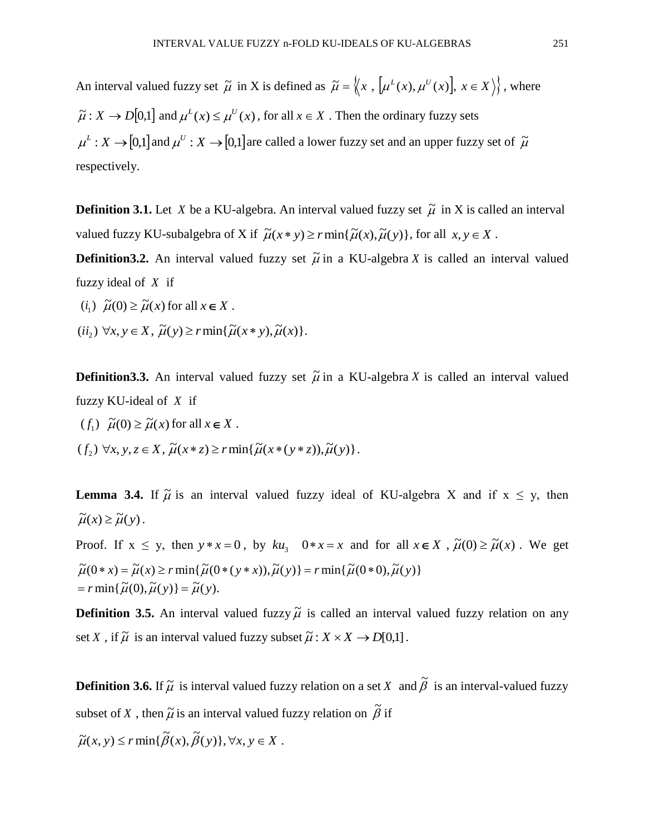An interval valued fuzzy set  $\tilde{\mu}$  in X is defined as  $\tilde{\mu} = \langle x, \mu^L(x), \mu^U(x), x \in X \rangle$ , where  $\tilde{\mu}: X \to D[0,1]$  and  $\mu^L(x) \leq \mu^U(x)$ , for all  $x \in X$ . Then the ordinary fuzzy sets  $\mu^L: X \to [0,1]$  and  $\mu^U: X \to [0,1]$  are called a lower fuzzy set and an upper fuzzy set of  $\tilde{\mu}$ respectively.

**Definition 3.1.** Let X be a KU-algebra. An interval valued fuzzy set  $\tilde{\mu}$  in X is called an interval valued fuzzy KU-subalgebra of X if  $\tilde{\mu}(x * y) \ge r \min{\{\tilde{\mu}(x), \tilde{\mu}(y)\}}$ , for all  $x, y \in X$ .

**Definition3.2.** An interval valued fuzzy set  $\tilde{\mu}$  in a KU-algebra X is called an interval valued fuzzy ideal of *X* if

- $(i_1) \widetilde{\mu}(0) \ge \widetilde{\mu}(x)$  for all  $x \in X$ .
- $(ii_2) \ \forall x, y \in X, \ \tilde{\mu}(y) \geq r \min{\{\tilde{\mu}(x * y), \tilde{\mu}(x)\}}.$

**Definition3.3.** An interval valued fuzzy set  $\tilde{\mu}$  in a KU-algebra X is called an interval valued fuzzy KU-ideal of *X* if

 $(f_1) \widetilde{\mu}(0) \ge \widetilde{\mu}(x)$  for all  $x \in X$ .

 $(f_2) \forall x, y, z \in X, \tilde{\mu}(x * z) \ge r \min{\{\tilde{\mu}(x * (y * z)), \tilde{\mu}(y)\}}.$ 

**Lemma 3.4.** If  $\tilde{\mu}$  is an interval valued fuzzy ideal of KU-algebra X and if  $x \le y$ , then  $\widetilde{\mu}(x) \geq \widetilde{\mu}(y)$ .

Proof. If  $x \leq y$ , then  $y * x = 0$ , by  $ku_3$   $0 * x = x$  and for all  $x \in X$ ,  $\tilde{\mu}(0) \geq \tilde{\mu}(x)$ . We get  $= r \min{\{\widetilde{\mu}(0), \widetilde{\mu}(y)\}} = \widetilde{\mu}(y).$  $\widetilde{\mu}(0 * x) = \widetilde{\mu}(x) \ge r \min{\{\widetilde{\mu}(0 * (y * x)), \widetilde{\mu}(y)\}} = r \min{\{\widetilde{\mu}(0 * 0), \widetilde{\mu}(y)\}}$ 

**Definition 3.5.** An interval valued fuzzy  $\tilde{\mu}$  is called an interval valued fuzzy relation on any set X, if  $\widetilde{\mu}$  is an interval valued fuzzy subset  $\widetilde{\mu}: X \times X \rightarrow D[0,1]$ .

**Definition 3.6.** If  $\tilde{\mu}$  is interval valued fuzzy relation on a set X and  $\tilde{\beta}$  is an interval-valued fuzzy subset of X, then  $\tilde{\mu}$  is an interval valued fuzzy relation on  $\tilde{\beta}$  if

 $\widetilde{\mu}(x, y) \le r \min\{\widetilde{\beta}(x), \widetilde{\beta}(y)\}, \forall x, y \in X$ .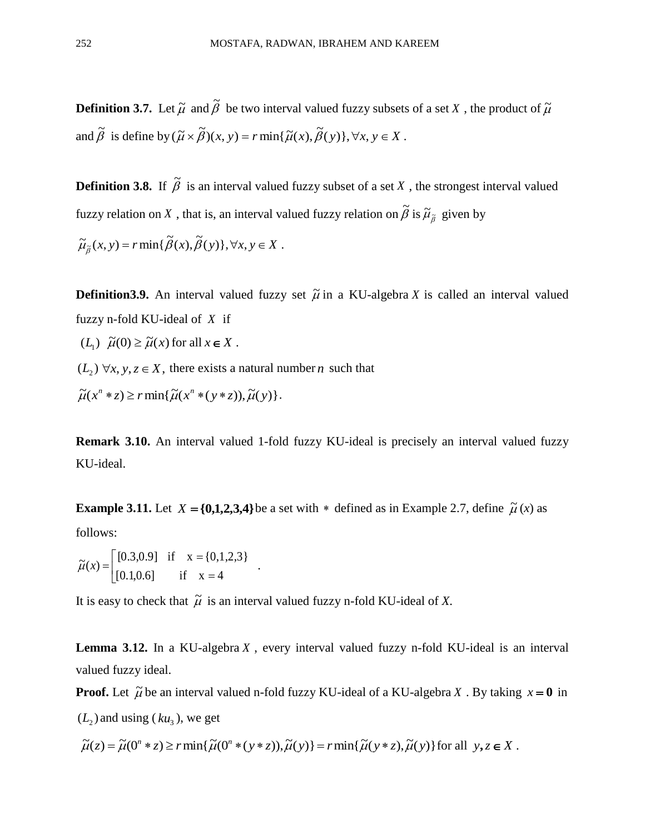**Definition 3.7.** Let  $\tilde{\mu}$  and  $\tilde{\beta}$  be two interval valued fuzzy subsets of a set X, the product of  $\tilde{\mu}$ and  $\tilde{\beta}$  is define by  $(\tilde{\mu} \times \tilde{\beta})(x, y) = r \min{\{\tilde{\mu}(x), \tilde{\beta}(y)\}, \forall x, y \in X}$ .

**Definition 3.8.** If  $\tilde{\beta}$  is an interval valued fuzzy subset of a set X, the strongest interval valued fuzzy relation on  $X$  , that is, an interval valued fuzzy relation on  $\widetilde{\beta}$  is  $\widetilde{\mu}_{\widetilde{\beta}}$  given by

$$
\widetilde{\mu}_{\widetilde{\beta}}(x, y) = r \min{\{\widetilde{\beta}(x), \widetilde{\beta}(y)\}}, \forall x, y \in X.
$$

**Definition3.9.** An interval valued fuzzy set  $\tilde{\mu}$  in a KU-algebra X is called an interval valued fuzzy n-fold KU-ideal of *X* if

 $(L_1)$   $\tilde{\mu}(0) \ge \tilde{\mu}(x)$  for all  $x \in X$ .

 $(L_2)$   $\forall x, y, z \in X$ , there exists a natural number *n* such that

 $\widetilde{\mu}(x^n * z) \geq r \min\{\widetilde{\mu}(x^n * (y * z)), \widetilde{\mu}(y)\}.$ 

**Remark 3.10.** An interval valued 1-fold fuzzy KU-ideal is precisely an interval valued fuzzy KU-ideal.

**Example 3.11.** Let  $X = \{0,1,2,3,4\}$  be a set with  $*$  defined as in Example 2.7, define  $\tilde{\mu}(x)$  as

follows:

 $\mathsf{L}$ L  $\mathbf{r}$  $=$  $=$  $=$  $[0.1, 0.6]$  if  $x = 4$  $[0.3, 0.9]$  if  $x = \{0, 1, 2, 3\}$  $\widetilde{\mu}(x) = \begin{bmatrix} 0.3, 0.9 \end{bmatrix}$  if  $x = \{0, 1, 2, 3\}$ 

It is easy to check that  $\tilde{\mu}$  is an interval valued fuzzy n-fold KU-ideal of *X*.

**Lemma 3.12.** In a KU-algebra *X* , every interval valued fuzzy n-fold KU-ideal is an interval valued fuzzy ideal.

**Proof.** Let  $\tilde{\mu}$  be an interval valued n-fold fuzzy KU-ideal of a KU-algebra X. By taking  $x = 0$  in  $(L_2)$  and using  $(ku_3)$ , we get

$$
\widetilde{\mu}(z) = \widetilde{\mu}(0^n * z) \ge r \min\{\widetilde{\mu}(0^n * (y * z)), \widetilde{\mu}(y)\} = r \min\{\widetilde{\mu}(y * z), \widetilde{\mu}(y)\}\
$$
for all  $y, z \in X$ .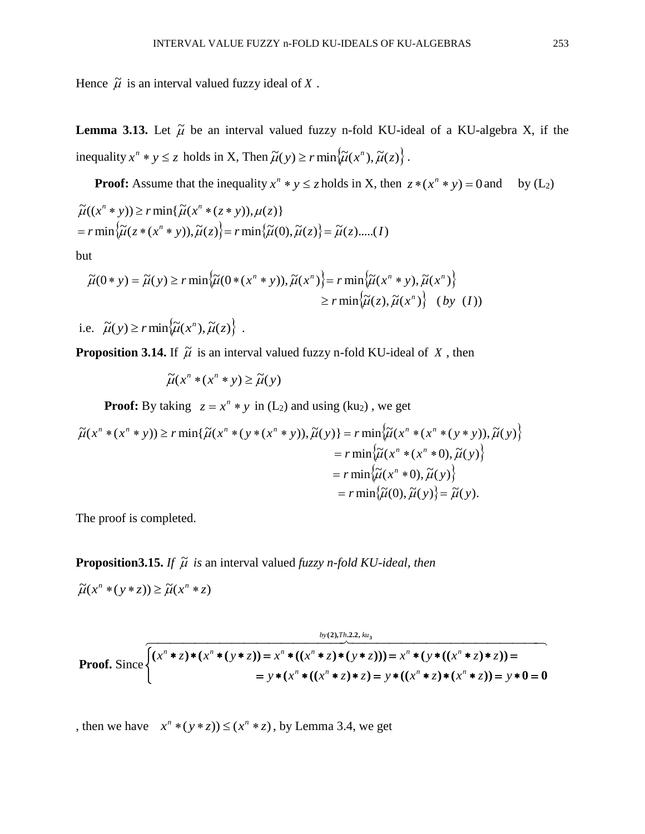Hence  $\tilde{\mu}$  is an interval valued fuzzy ideal of X.

**Lemma 3.13.** Let  $\tilde{\mu}$  be an interval valued fuzzy n-fold KU-ideal of a KU-algebra X, if the inequality  $x^n * y \leq z$  holds in X, Then  $\tilde{\mu}(y) \geq r \min \{ \tilde{\mu}(x^n), \tilde{\mu}(z) \}$ .

**Proof:** Assume that the inequality  $x^n * y \leq z$  holds in X, then  $z * (x^n * y) = 0$  and by  $(L_2)$ 

$$
\widetilde{\mu}((x^n * y)) \ge r \min{\{\widetilde{\mu}(x^n * (z * y)), \mu(z)\}}
$$
\n
$$
= r \min{\{\widetilde{\mu}(z * (x^n * y)), \widetilde{\mu}(z)\}} = r \min{\{\widetilde{\mu}(0), \widetilde{\mu}(z)\}} = \widetilde{\mu}(z) \dots (I)
$$

but

$$
\widetilde{\mu}(0*y) = \widetilde{\mu}(y) \ge r \min\left\{\widetilde{\mu}(0*(x^n*y)), \widetilde{\mu}(x^n)\right\} = r \min\left\{\widetilde{\mu}(x^n*y), \widetilde{\mu}(x^n)\right\}
$$
\n
$$
\ge r \min\left\{\widetilde{\mu}(z), \widetilde{\mu}(x^n)\right\} \quad (by \ (I))
$$

i.e.  $\widetilde{\mu}(y) \ge r \min \{ \widetilde{\mu}(x^n), \widetilde{\mu}(z) \}$ .

**Proposition 3.14.** If  $\tilde{\mu}$  is an interval valued fuzzy n-fold KU-ideal of X, then

 $\widetilde{\mu}(x^n * (x^n * y) \geq \widetilde{\mu}(y))$ 

**Proof:** By taking  $z = x^n * y$  in (L<sub>2</sub>) and using (ku<sub>2</sub>), we get

$$
\widetilde{\mu}(x^n * (x^n * y)) \ge r \min{\{\widetilde{\mu}(x^n * (y * (x^n * y)), \widetilde{\mu}(y)\}} = r \min{\{\widetilde{\mu}(x^n * (x^n * (y * y)), \widetilde{\mu}(y)\}}\n= r \min{\{\widetilde{\mu}(x^n * (x^n * 0), \widetilde{\mu}(y)\}}\n= r \min{\{\widetilde{\mu}(x^n * 0), \widetilde{\mu}(y)\}}\n= r \min{\{\widetilde{\mu}(0), \widetilde{\mu}(y)\}}\n= r \min{\{\widetilde{\mu}(0), \widetilde{\mu}(y)\}} = \widetilde{\mu}(y).
$$

The proof is completed.

**Proposition3.15.** If  $\tilde{\mu}$  is an interval valued *fuzzy n-fold KU-ideal, then* 

 $\widetilde{\mu}(x^n * (y * z)) \geq \widetilde{\mu}(x^n * z)$ 

Proof. Since 
$$
\sqrt{(x^n * z) * (x^n * (y * z))} = x^n * ((x^n * z) * (y * z))) = x^n * (y * ((x^n * z) * z)) =
$$

$$
= y * (x^n * ((x^n * z) * z) = y * ((x^n * z) * (x^n * z)) = y * 0 = 0
$$

, then we have  $x^n * (y * z) \le (x^n * z)$ , by Lemma 3.4, we get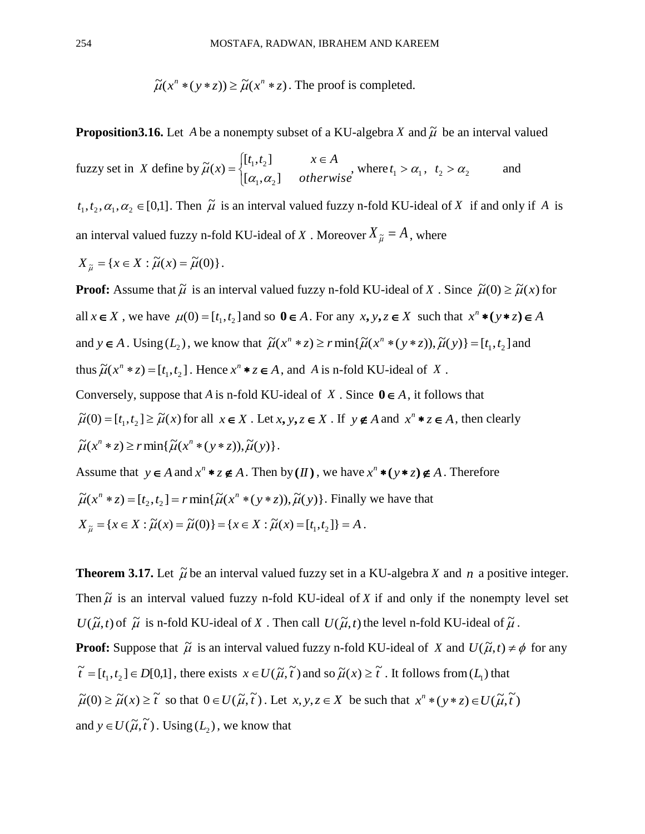$\widetilde{\mu}(x^n * (y * z)) \geq \widetilde{\mu}(x^n * z)$ . The proof is completed.

**Proposition 3.16.** Let A be a nonempty subset of a KU-algebra X and  $\tilde{\mu}$  be an interval valued

fuzzy set in *X* define by *otherwise*  $[t_1, t_2]$   $x \in A$ *x*  $\in$  $\overline{\mathcal{L}}$  $\left\{ \right.$  $\int$  $=$  $[\alpha_1, \alpha_2]$  $[t_1, t_2]$  $\widetilde{\mu}(x)$  $\cdot_1$ ,  $\mathsf{\omega}_2$  $1, 2$  $\widetilde{\mu}(x) = \begin{cases} \sum_{i=1}^{n} a_i - a_i, & n \in \mathbb{N} \\ \lceil \alpha_1, \alpha_2 \rceil & otherwise \end{cases}$ , where  $t_1 > \alpha_1$ ,  $t_2 > \alpha_2$  and

 $t_1, t_2, \alpha_1, \alpha_2 \in [0,1]$ . Then  $\tilde{\mu}$  is an interval valued fuzzy n-fold KU-ideal of X if and only if A is an interval valued fuzzy n-fold KU-ideal of X . Moreover  $X_{\tilde{\mu}} = A$ , where

$$
X_{\widetilde{\mu}} = \{x \in X : \widetilde{\mu}(x) = \widetilde{\mu}(0)\}.
$$

**Proof:** Assume that  $\tilde{\mu}$  is an interval valued fuzzy n-fold KU-ideal of X. Since  $\tilde{\mu}(0) \ge \tilde{\mu}(x)$  for all  $x \in X$ , we have  $\mu(0) = [t_1, t_2]$  and so  $0 \in A$ . For any  $x, y, z \in X$  such that  $x^n * (y * z) \in A$ and  $y \in A$ . Using  $(L_2)$ , we know that  $\tilde{\mu}(x^n * z) \ge r \min{\{\tilde{\mu}(x^n * (y * z)), \tilde{\mu}(y)\}} = [t_1, t_2]$  and thus  $\widetilde{\mu}(x^n * z) = [t_1, t_2]$ . Hence  $x^n * z \in A$ , and A is n-fold KU-ideal of X. Conversely, suppose that A is n-fold KU-ideal of X. Since  $0 \in A$ , it follows that  $\widetilde{\mu}(0) = [t_1, t_2] \ge \widetilde{\mu}(x)$  for all  $x \in X$ . Let  $x, y, z \in X$ . If  $y \notin A$  and  $x^n * z \in A$ , then clearly  $\widetilde{\mu}(x^n * z) \geq r \min\{\widetilde{\mu}(x^n * (y * z)), \widetilde{\mu}(y)\}.$ 

Assume that  $y \in A$  and  $x^n * z \notin A$ . Then by  $(H)$ , we have  $x^n * (y * z) \notin A$ . Therefore  $\widetilde{\mu}(x^n * z) = [t_2, t_2] = r \min{\{\widetilde{\mu}(x^n * (y * z)), \widetilde{\mu}(y)\}}$ . Finally we have that  $X_{\tilde{\mu}} = \{x \in X : \tilde{\mu}(x) = \tilde{\mu}(0)\} = \{x \in X : \tilde{\mu}(x) = [t_1, t_2]\} = A$ .

**Theorem 3.17.** Let  $\tilde{\mu}$  be an interval valued fuzzy set in a KU-algebra X and n a positive integer. Then  $\tilde{\mu}$  is an interval valued fuzzy n-fold KU-ideal of X if and only if the nonempty level set  $U(\tilde{\mu}, t)$  of  $\tilde{\mu}$  is n-fold KU-ideal of X. Then call  $U(\tilde{\mu}, t)$  the level n-fold KU-ideal of  $\tilde{\mu}$ . **Proof:** Suppose that  $\tilde{\mu}$  is an interval valued fuzzy n-fold KU-ideal of X and  $U(\tilde{\mu}, t) \neq \phi$  for any  $\tilde{t} = [t_1, t_2] \in D[0,1]$ , there exists  $x \in U(\tilde{\mu}, \tilde{t})$  and so  $\tilde{\mu}(x) \geq \tilde{t}$ . It follows from  $(L_1)$  that  $\tilde{\mu}(0) \ge \tilde{\mu}(x) \ge \tilde{t}$  so that  $0 \in U(\tilde{\mu}, \tilde{t})$ . Let  $x, y, z \in X$  be such that  $x^n * (y * z) \in U(\tilde{\mu}, \tilde{t})$ and  $y \in U(\tilde{\mu}, \tilde{t})$ . Using  $(L_2)$ , we know that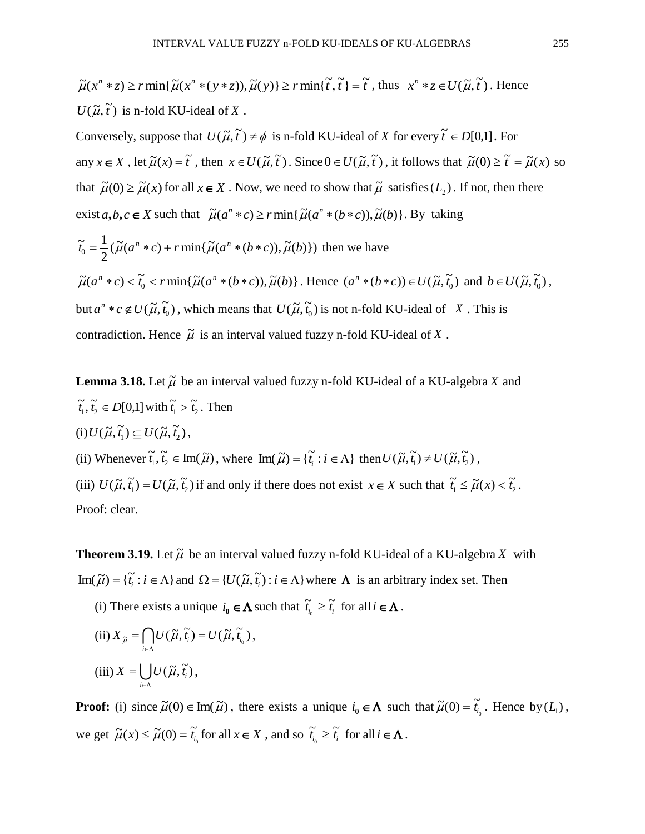$$
\widetilde{\mu}(x^n * z) \ge r \min\{\widetilde{\mu}(x^n * (y * z)), \widetilde{\mu}(y)\} \ge r \min\{\widetilde{t}, \widetilde{t}\} = \widetilde{t}, \text{ thus } x^n * z \in U(\widetilde{\mu}, \widetilde{t}). \text{ Hence}
$$
\n
$$
U(\widetilde{\mu}, \widetilde{t}) \text{ is n-fold KU-ideal of } X.
$$

Conversely, suppose that  $U(\tilde{\mu}, \tilde{t}) \neq \phi$  is n-fold KU-ideal of X for every  $\tilde{t} \in D[0,1]$ . For any  $x \in X$ , let  $\tilde{\mu}(x) = \tilde{t}$ , then  $x \in U(\tilde{\mu}, \tilde{t})$ . Since  $0 \in U(\tilde{\mu}, \tilde{t})$ , it follows that  $\tilde{\mu}(0) \ge \tilde{t} = \tilde{\mu}(x)$  so that  $\tilde{\mu}(0) \ge \tilde{\mu}(x)$  for all  $x \in X$ . Now, we need to show that  $\tilde{\mu}$  satisfies  $(L_2)$ . If not, then there exist  $a, b, c \in X$  such that  $\tilde{\mu}(a^n * c) \ge r \min{\{\tilde{\mu}(a^n * (b * c)), \tilde{\mu}(b)\}}$ . By taking

$$
\tilde{t}_0 = \frac{1}{2} (\tilde{\mu}(a^n * c) + r \min{\{\tilde{\mu}(a^n * (b * c)), \tilde{\mu}(b)\}})
$$
 then we have  
\n
$$
\tilde{\mu}(a^n * c) < \tilde{t}_0 < r \min{\{\tilde{\mu}(a^n * (b * c)), \tilde{\mu}(b)\}}.
$$
 Hence  $(a^n * (b * c)) \in U(\tilde{\mu}, \tilde{t}_0)$  and  $b \in U(\tilde{\mu}, \tilde{t}_0)$ ,  
\nbut  $a^n * c \notin U(\tilde{\mu}, \tilde{t}_0)$ , which means that  $U(\tilde{\mu}, \tilde{t}_0)$  is not n-fold KU-ideal of X. This is  
\ncontradiction. Hence  $\tilde{\mu}$  is an interval valued fuzzy n-fold KU-ideal of X.

**Lemma 3.18.** Let  $\tilde{\mu}$  be an interval valued fuzzy n-fold KU-ideal of a KU-algebra X and  $\widetilde{t}_1, \widetilde{t}_2 \in D[0,1]$  with  $\widetilde{t}_1 > \widetilde{t}_2$  $\widetilde{t}_1 > \widetilde{t}_2$ . Then  $(i) U(\tilde{\mu}, \tilde{t}_1) \subseteq U(\tilde{\mu}, \tilde{t}_2),$ 

(ii) Whenever  $\tilde{t}_1, \tilde{t}_2 \in \text{Im}(\tilde{\mu})$ , where  $\text{Im}(\tilde{\mu}) = {\tilde{t}_i : i \in \Lambda}$  then  $U(\tilde{\mu}, \tilde{t}_1) \neq U(\tilde{\mu}, \tilde{t}_2)$ ,

(iii)  $U(\tilde{\mu}, \tilde{t}_1) = U(\tilde{\mu}, \tilde{t}_2)$  if and only if there does not exist  $x \in X$  such that  $\tilde{t}_1 \leq \tilde{\mu}(x) < \tilde{t}_2$ . Proof: clear.

**Theorem 3.19.** Let  $\tilde{\mu}$  be an interval valued fuzzy n-fold KU-ideal of a KU-algebra X with  $\text{Im}(\widetilde{\mu}) = {\{\widetilde{t}_i : i \in \Lambda\}}$  and  $\Omega = \{U(\widetilde{\mu}, \widetilde{t}_i) : i \in \Lambda\}$  where  $\Lambda$  is an arbitrary index set. Then

(i) There exists a unique  $i_0 \in \Lambda$  such that  $\tilde{t}_{i_0} \geq \tilde{t}_i$  $\widetilde{t}_i \geq \widetilde{t}_i$  for all  $i \in \Lambda$ .

(ii) 
$$
X_{\tilde{\mu}} = \bigcap_{i \in \Lambda} U(\tilde{\mu}, \tilde{t}_i) = U(\tilde{\mu}, \tilde{t}_{i_0}),
$$
  
(iii)  $X = \bigcup_{i \in \Lambda} U(\tilde{\mu}, \tilde{t}_i),$ 

**Proof:** (i) since  $\tilde{\mu}(0) \in \text{Im}(\tilde{\mu})$ , there exists a unique  $i_0 \in \Lambda$  such that  $\tilde{\mu}(0) = \tilde{i}_i$  $\widetilde{\mu}(0) = \widetilde{t}_{i_0}$ . Hence by  $(L_1)$ , we get  $\widetilde{\mu}(x) \leq \widetilde{\mu}(0) = \widetilde{t}_{i_0}$  $\widetilde{\mu}(x) \leq \widetilde{\mu}(0) = \widetilde{t}_{i_0}$  for all  $x \in X$ , and so  $\widetilde{t}_{i_0} \geq \widetilde{t}_{i_0}$  $\widetilde{t}_i \geq \widetilde{t}_i$  for all  $i \in \Lambda$ .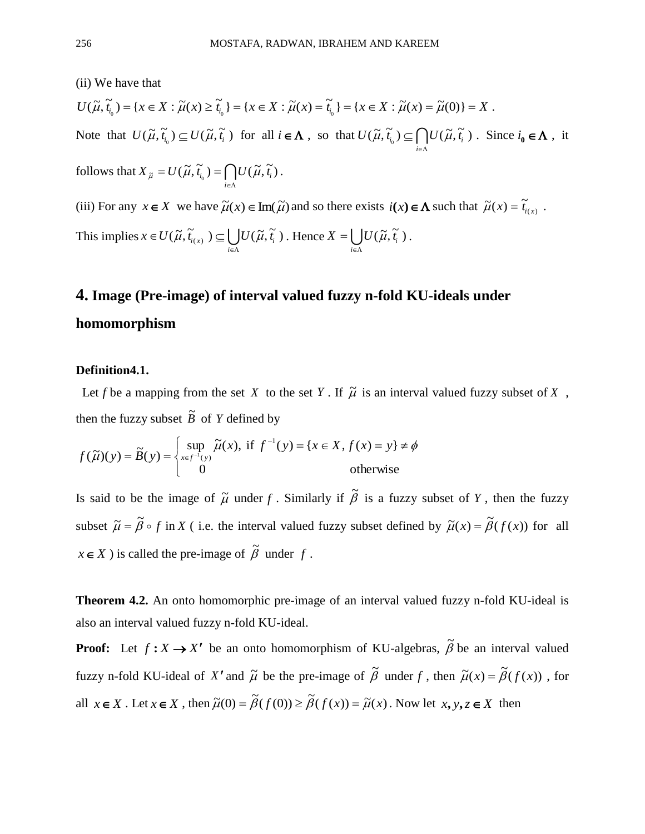(ii) We have that

$$
U(\widetilde{\mu}, \widetilde{t}_{i_0}) = \{x \in X : \widetilde{\mu}(x) \ge \widetilde{t}_{i_0}\} = \{x \in X : \widetilde{\mu}(x) = \widetilde{t}_{i_0}\} = \{x \in X : \widetilde{\mu}(x) = \widetilde{\mu}(0)\} = X.
$$
  
Note that  $U(\widetilde{\mu}, \widetilde{t}_{i_0}) = U(\widetilde{\mu}, \widetilde{t}_{i_0})$  for all  $i \in \Lambda$ , so that  $U(\widetilde{\mu}, \widetilde{t}_{i_0}) = \mathcal{O}U(\widetilde{\mu}, \widetilde{t}_{i_0})$ . Since  $i \in \Lambda$ ,

Note that  $U(\tilde{\mu}, \tilde{t}_{i_0}) \subseteq U(\tilde{\mu}, \tilde{t}_i)$  for all  $i \in \Lambda$ , so that  $U(\tilde{\mu}, \tilde{t}_{i_0}) \subseteq \bigcap_{i \in \Lambda}$  $\subseteq$ *i*  $U(\widetilde{\mu}, \widetilde{t}_{i_0}) \subseteq \bigcap U(\widetilde{\mu}, \widetilde{t}_i)$ . Since  $i_0 \in \Lambda$ , it

follows that  $X_{\tilde{\mu}} = U(\tilde{\mu}, \tilde{t}_{i_0}) = \bigcap_{i \in \Lambda} U(\tilde{\mu}, \tilde{t}_i)$  $=U(\widetilde{\mu},\widetilde{t}_{_{\!i\alpha}})=$ *i*  $X_{\tilde{\mu}} = U(\tilde{\mu}, \tilde{t}_{i_0}) = \int U(\tilde{\mu}, \tilde{t}_i).$ 

(iii) For any  $x \in X$  we have  $\tilde{\mu}(x) \in \text{Im}(\tilde{\mu})$  and so there exists  $i(x) \in \Lambda$  such that  $\tilde{\mu}(x) = \tilde{t}_{i(x)}$ .

This implies  $x \in U(\widetilde{\mu}, \widetilde{t}_{i(x)}) \subseteq \bigcup_{i \in \Lambda}$  $\in U(\widetilde{\mu},\widetilde{t}_{i(x)}) \subseteq$ *i*  $x \in U(\tilde{\mu}, \tilde{t}_{i(x)}) \subseteq \bigcup_{i \in \Lambda} U(\tilde{\mu}, \tilde{t}_i)$ . Hence  $X = \bigcup_{i \in \Lambda}$  $\equiv$ *i*  $X = \bigcup U(\widetilde{\mu}, \widetilde{t_i})$ .

# **4. Image (Pre-image) of interval valued fuzzy n-fold KU-ideals under homomorphism**

#### **Definition4.1.**

Let *f* be a mapping from the set *X* to the set *Y*. If  $\tilde{\mu}$  is an interval valued fuzzy subset of *X*, then the fuzzy subset  $\tilde{B}$  of Y defined by

$$
f(\widetilde{\mu})(y) = \widetilde{B}(y) = \begin{cases} \sup_{x \in f^{-1}(y)} \widetilde{\mu}(x), & \text{if } f^{-1}(y) = \{x \in X, f(x) = y\} \neq \phi \\ 0 & \text{otherwise} \end{cases}
$$

Is said to be the image of  $\tilde{\mu}$  under f. Similarly if  $\tilde{\beta}$  is a fuzzy subset of Y, then the fuzzy subset  $\tilde{\mu} = \tilde{\beta} \circ f$  in X (i.e. the interval valued fuzzy subset defined by  $\tilde{\mu}(x) = \tilde{\beta}(f(x))$  for all  $x \in X$  ) is called the pre-image of  $\tilde{\beta}$  under f.

**Theorem 4.2.** An onto homomorphic pre-image of an interval valued fuzzy n-fold KU-ideal is also an interval valued fuzzy n-fold KU-ideal.

**Proof:** Let  $f: X \rightarrow X'$  be an onto homomorphism of KU-algebras,  $\tilde{\beta}$  be an interval valued fuzzy n-fold KU-ideal of X' and  $\tilde{\mu}$  be the pre-image of  $\tilde{\beta}$  under f, then  $\tilde{\mu}(x) = \tilde{\beta}(f(x))$ , for all  $x \in X$ . Let  $x \in X$ , then  $\tilde{\mu}(0) = \tilde{\beta}(f(0)) \ge \tilde{\beta}(f(x)) = \tilde{\mu}(x)$ . Now let  $x, y, z \in X$  then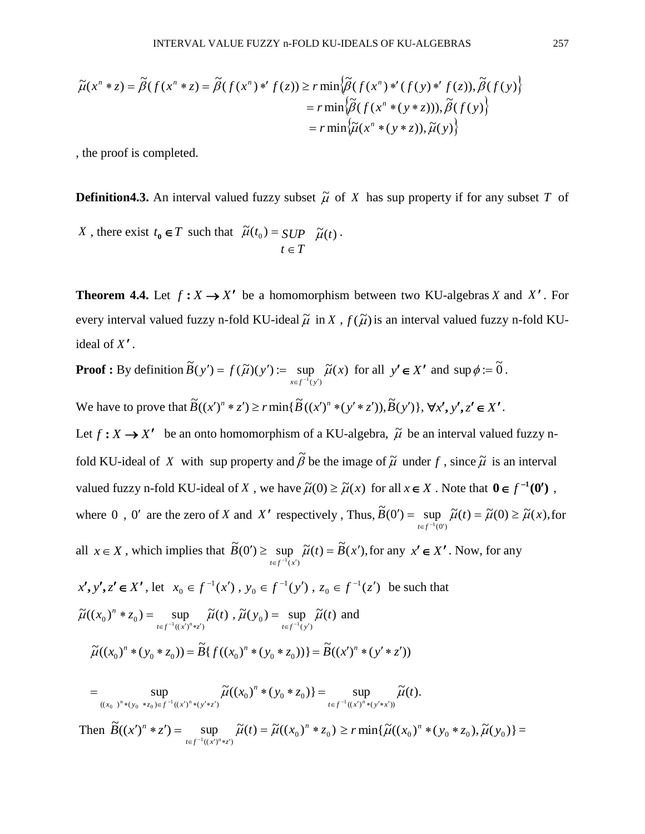$$
\widetilde{\mu}(x^n * z) = \widetilde{\beta}(f(x^n * z) = \widetilde{\beta}(f(x^n) *' f(z)) \ge r \min \{ \widetilde{\beta}(f(x^n) *'(f(y) *' f(z)), \widetilde{\beta}(f(y)) \}
$$
\n
$$
= r \min \{ \widetilde{\beta}(f(x^n * (y * z))), \widetilde{\beta}(f(y)) \}
$$
\n
$$
= r \min \{ \widetilde{\mu}(x^n * (y * z)), \widetilde{\mu}(y) \}
$$

, the proof is completed.

**Definition 4.3.** An interval valued fuzzy subset  $\tilde{\mu}$  of X has sup property if for any subset T of

X, there exist 
$$
t_0 \in T
$$
 such that  $\tilde{\mu}(t_0) = \text{SUP } \tilde{\mu}(t)$ .  
\n $t \in T$ 

**Theorem 4.4.** Let  $f: X \rightarrow X'$  be a homomorphism between two KU-algebras X and X'. For every interval valued fuzzy n-fold KU-ideal  $\tilde{\mu}$  in X,  $f(\tilde{\mu})$  is an interval valued fuzzy n-fold KUideal of X'.

**Proof :** By definition 
$$
\widetilde{B}(y') = f(\widetilde{\mu})(y') := \sup_{x \in f^{-1}(y')} \widetilde{\mu}(x)
$$
 for all  $y' \in X'$  and  $\sup \phi := \widetilde{0}$ .

We have to prove that  $\widetilde{B}((x')^n * z') \ge r \min{\{\widetilde{B}((x')^n * (y' * z')), \widetilde{B}(y')\}}, \forall x', y', z' \in X'.$ 

Let  $f: X \rightarrow X'$  be an onto homomorphism of a KU-algebra,  $\tilde{\mu}$  be an interval valued fuzzy nfold KU-ideal of X with sup property and  $\tilde{\beta}$  be the image of  $\tilde{\mu}$  under f, since  $\tilde{\mu}$  is an interval valued fuzzy n-fold KU-ideal of X, we have  $\tilde{\mu}(0) \ge \tilde{\mu}(x)$  for all  $x \in X$ . Note that  $0 \in f^{-1}(0')$ , where 0, 0' are the zero of *X* and *X'* respectively, Thus,  $\tilde{B}(0') = \sup \tilde{\mu}(t) = \tilde{\mu}(0) \ge \tilde{\mu}(x)$ ,  $\widetilde{B}(0') = \sup_{t \in f^{-1}(0')} \widetilde{\mu}(t) = \widetilde{\mu}(0) \ge \widetilde{\mu}(x)$  $t \in f$  $U'$ ) = sup  $\tilde{\mu}(t) = \tilde{\mu}(0) \ge \tilde{\mu}$  $\sup_{t \in f^{-1}(0')} \widetilde{\mu}(t) = \widetilde{\mu}(0) \ge \widetilde{\mu}(x),$  for all  $x \in X$ , which implies that  $\widetilde{B}(0') \geq \sup \ \widetilde{\mu}(t) = \widetilde{B}(x')$ ,  $\widetilde{B}(0') \geq \sup_{t \in f^{-1}(x')} \widetilde{\mu}(t) = \widetilde{B}(x)$  $t \in f^{-1}(x)$  $\tilde{\mu}(t) \geq \sup \tilde{\mu}(t) = \tilde{B}(x^{\prime})$  $\sup_{x \in f^{-1}(x')} \widetilde{\mu}(t) = \widetilde{B}(x'),$  for any  $x' \in X'$ . Now, for any  $x', y', z' \in X'$ , let  $x_0 \in f^{-1}(x')$ ,  $y_0 \in f^{-1}(y')$ ,  $z_0 \in f^{-1}(z')$ 0 1  $\mathbf{0}$ 1  $x_0 \in f^{-1}(x')$ ,  $y_0 \in f^{-1}(y')$ ,  $z_0 \in f^{-1}(z')$  be such that  $\widetilde{\mu}((x_0)^n * z_0) = \sup \widetilde{\mu}(t)$ ,  $\widetilde{\mu}(y_0) = \sup \widetilde{\mu}(t)$  $(x_0)^n * z_0$  =  $\sup_{t \in f^{-1}((x')^n * z')} \widetilde{\mu}(t)$ ,  $\widetilde{\mu}(y_0) = \sup_{t \in f^{-1}(y')} \widetilde{\mu}(t)$  $t \in f^{-1}((x')^n * z')$   $t \in f^{-1}(y)$ *n*  $\mu(x_0) * z_0 = \sup_{t \in \mathcal{E}^{-1}(x_0, t^* \neq t)} \mu(t)$ ,  $\mu(y_0) = \sup_{t \in \mathcal{E}^{-1}(x_0)} \mu$  $* z_0$ ) =  $\sup_{t \in f^{-1}((x')^n * z')} \widetilde{\mu}(t)$ ,  $\widetilde{\mu}(y_0) = \sup_{t \in f^{-1}(y')} \widetilde{\mu}(t)$  and  $\widetilde{\mu}((x_0)^n * (y_0 * z_0)) = \widetilde{B}\{f((x_0)^n * (y_0 * z_0))\} = \widetilde{B}((x')^n * (y' * z'))$ 

$$
= \sup_{((x_0)^n * (y_0 * z_0) \in f^{-1}((x')^n * (y' * z'))} \widetilde{\mu}((x_0)^n * (y_0 * z_0)) = \sup_{t \in f^{-1}((x')^n * (y' * x'))} \widetilde{\mu}(t).
$$

Then  $\widetilde{B}((x')^n * z') = \sup_{t \in f^{-1}((x')^n * z')} \widetilde{\mu}(t) = \widetilde{\mu}((x_0)^n * z_0)$  $\sup_{t \in f^{-1}((x')^n * z')} \widetilde{\mu}(t) = \widetilde{\mu}((x_0)^n *$  $\sup_{x \in f^{-1}((x')^n * z')} \widetilde{\mu}(t) = \widetilde{\mu}((x_0)^n * z_0) \ge r \min{\{\widetilde{\mu}((x_0)^n * (y_0 * z_0), \widetilde{\mu}(y_0)\}}$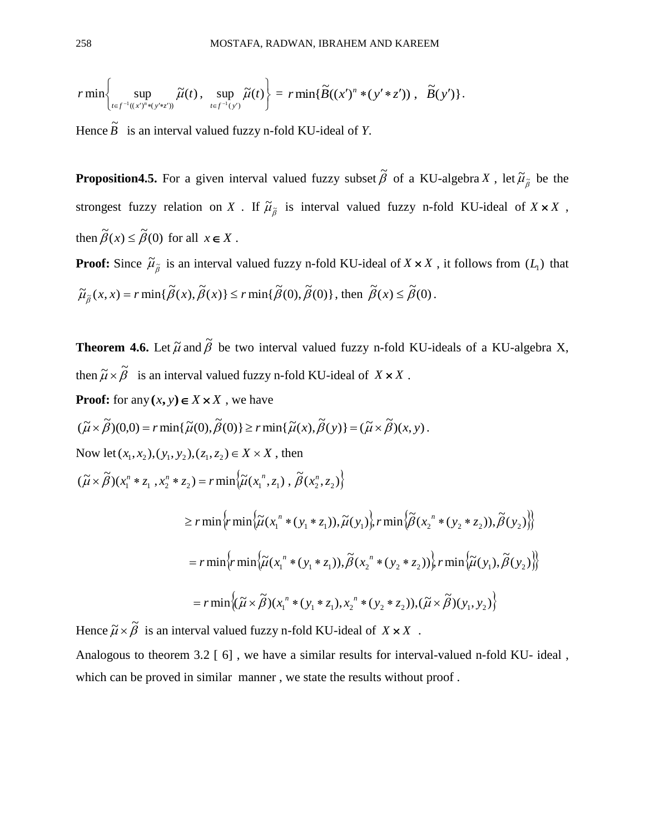$$
r \min \left\{ \sup_{t \in f^{-1}((x')^n * (y' * z'))} \widetilde{\mu}(t), \sup_{t \in f^{-1}(y')} \widetilde{\mu}(t) \right\} = r \min \{ \widetilde{B}((x')^n * (y' * z')) , \widetilde{B}(y') \}.
$$

Hence  $\tilde{B}$  is an interval valued fuzzy n-fold KU-ideal of *Y*.

**Proposition 4.5.** For a given interval valued fuzzy subset  $\tilde{\beta}$  of a KU-algebra X, let  $\tilde{\mu}_{\tilde{\beta}}$  be the strongest fuzzy relation on X. If  $\tilde{\mu}_{\tilde{\beta}}$  is interval valued fuzzy n-fold KU-ideal of  $X \times X$ , then  $\tilde{\beta}(x) \leq \tilde{\beta}(0)$  for all  $x \in X$ .

**Proof:** Since  $\tilde{\mu}_{\tilde{\beta}}$  is an interval valued fuzzy n-fold KU-ideal of  $X \times X$ , it follows from  $(L_1)$  that  $\widetilde{\mu}_{\widetilde{\beta}}(x, x) = r \min{\{\widetilde{\beta}(x), \widetilde{\beta}(x)\}} \leq r \min{\{\widetilde{\beta}(0), \widetilde{\beta}(0)\}}, \text{ then } \widetilde{\beta}(x) \leq \widetilde{\beta}(0).$ 

**Theorem 4.6.** Let  $\tilde{\mu}$  and  $\tilde{\beta}$  be two interval valued fuzzy n-fold KU-ideals of a KU-algebra X, then  $\widetilde{\mu} \times \widetilde{\beta}$  is an interval valued fuzzy n-fold KU-ideal of  $X \times X$ .

**Proof:** for any  $(x, y) \in X \times X$ , we have

$$
(\widetilde{\mu} \times \widetilde{\beta})(0,0) = r \min{\{\widetilde{\mu}(0), \widetilde{\beta}(0)\}} \geq r \min{\{\widetilde{\mu}(x), \widetilde{\beta}(y)\}} = (\widetilde{\mu} \times \widetilde{\beta})(x, y).
$$

Now let  $(x_1, x_2), (y_1, y_2), (z_1, z_2) \in X \times X$ , then

$$
(\widetilde{\mu}\times\widetilde{\beta})(x_1^n * z_1, x_2^n * z_2) = r \min\left\{\widetilde{\mu}(x_1^n, z_1), \widetilde{\beta}(x_2^n, z_2)\right\}
$$

$$
\geq r \min \left\{ r \min \left\{ \widetilde{\mu}(x_1^n * (y_1 * z_1)), \widetilde{\mu}(y_1) \right\} r \min \left\{ \widetilde{\beta}(x_2^n * (y_2 * z_2)), \widetilde{\beta}(y_2) \right\} \right\}
$$
  

$$
= r \min \left\{ r \min \left\{ \widetilde{\mu}(x_1^n * (y_1 * z_1)), \widetilde{\beta}(x_2^n * (y_2 * z_2)) \right\} r \min \left\{ \widetilde{\mu}(y_1), \widetilde{\beta}(y_2) \right\} \right\}
$$
  

$$
= r \min \left\{ (\widetilde{\mu} \times \widetilde{\beta})(x_1^n * (y_1 * z_1), x_2^n * (y_2 * z_2)), (\widetilde{\mu} \times \widetilde{\beta})(y_1, y_2) \right\}
$$

Hence  $\widetilde{\mu} \times \widetilde{\beta}$  is an interval valued fuzzy n-fold KU-ideal of  $X \times X$ .

Analogous to theorem 3.2 [6], we have a similar results for interval-valued n-fold KU- ideal, which can be proved in similar manner, we state the results without proof.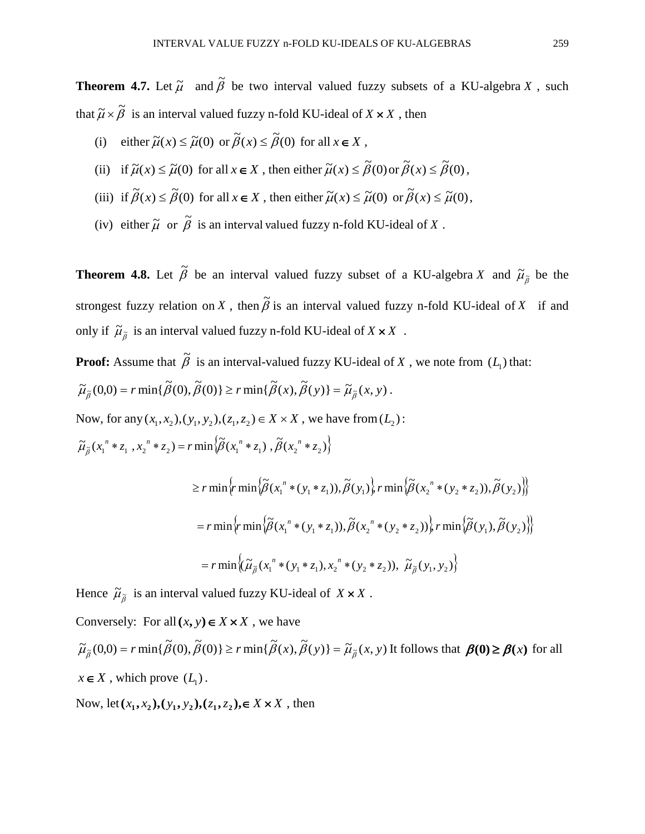**Theorem 4.7.** Let  $\tilde{\mu}$  and  $\tilde{\beta}$  be two interval valued fuzzy subsets of a KU-algebra X, such that  $\widetilde{\mu} \times \widetilde{\beta}$  is an interval valued fuzzy n-fold KU-ideal of  $X \times X$ , then

- (i) either  $\tilde{\mu}(x) \leq \tilde{\mu}(0)$  or  $\tilde{\beta}(x) \leq \tilde{\beta}(0)$  for all  $x \in X$ ,
- (ii) if  $\tilde{\mu}(x) \leq \tilde{\mu}(0)$  for all  $x \in X$ , then either  $\tilde{\mu}(x) \leq \tilde{\beta}(0)$  or  $\tilde{\beta}(x) \leq \tilde{\beta}(0)$ ,
- (iii) if  $\tilde{\beta}(x) \leq \tilde{\beta}(0)$  for all  $x \in X$ , then either  $\tilde{\mu}(x) \leq \tilde{\mu}(0)$  or  $\tilde{\beta}(x) \leq \tilde{\mu}(0)$ ,
- (iv) either  $\widetilde{\mu}$  or  $\widetilde{\beta}$  is an interval valued fuzzy n-fold KU-ideal of X.

**Theorem 4.8.** Let  $\tilde{\beta}$  be an interval valued fuzzy subset of a KU-algebra X and  $\tilde{\mu}_{\tilde{\beta}}$  be the strongest fuzzy relation on X, then  $\tilde{\beta}$  is an interval valued fuzzy n-fold KU-ideal of X if and only if  $\widetilde{\mu}_{\widetilde{\beta}}$  is an interval valued fuzzy n-fold KU-ideal of  $X \times X$ .

**Proof:** Assume that  $\tilde{\beta}$  is an interval-valued fuzzy KU-ideal of X, we note from  $(L_1)$  that:

$$
\widetilde{\mu}_{\widetilde{\beta}}(0,0) = r \min \{ \widetilde{\beta}(0), \widetilde{\beta}(0) \} \ge r \min \{ \widetilde{\beta}(x), \widetilde{\beta}(y) \} = \widetilde{\mu}_{\widetilde{\beta}}(x,y).
$$

Now, for any  $(x_1, x_2), (y_1, y_2), (z_1, z_2) \in X \times X$ , we have from  $(L_2)$ :

$$
\widetilde{\mu}_{\widetilde{\beta}}(x_1^{n} * z_1, x_2^{n} * z_2) = r \min \Big\{ \widetilde{\beta}(x_1^{n} * z_1), \widetilde{\beta}(x_2^{n} * z_2) \Big\}
$$

$$
\geq r \min \{ r \min \{ \tilde{\beta}(x_1^{n} * (y_1 * z_1)), \tilde{\beta}(y_1) \} , r \min \{ \tilde{\beta}(x_2^{n} * (y_2 * z_2)), \tilde{\beta}(y_2) \} \}
$$
  
=  $r \min \{ r \min \{ \tilde{\beta}(x_1^{n} * (y_1 * z_1)), \tilde{\beta}(x_2^{n} * (y_2 * z_2)) \} , r \min \{ \tilde{\beta}(y_1), \tilde{\beta}(y_2) \} \}$   
=  $r \min \{ (\tilde{\mu}_{\tilde{\beta}}(x_1^{n} * (y_1 * z_1), x_2^{n} * (y_2 * z_2)), \tilde{\mu}_{\tilde{\beta}}(y_1, y_2) \}$ 

Hence  $\widetilde{\mu}_{\widetilde{\beta}}$  is an interval valued fuzzy KU-ideal of  $X \times X$ .

Conversely: For all  $(x, y) \in X \times X$ , we have

 $\widetilde{\mu}_{\widetilde{\beta}}(0,0) = r \min{\{\widetilde{\beta}(0), \widetilde{\beta}(0)\}} \geq r \min{\{\widetilde{\beta}(x), \widetilde{\beta}(y)\}} = \widetilde{\mu}_{\widetilde{\beta}}(x, y)$  It follows that  $\beta(0) \geq \beta(x)$  for all  $x \in X$ , which prove  $(L_1)$ .

Now, let  $(x_1, x_2), (y_1, y_2), (z_1, z_2), \in X \times X$ , then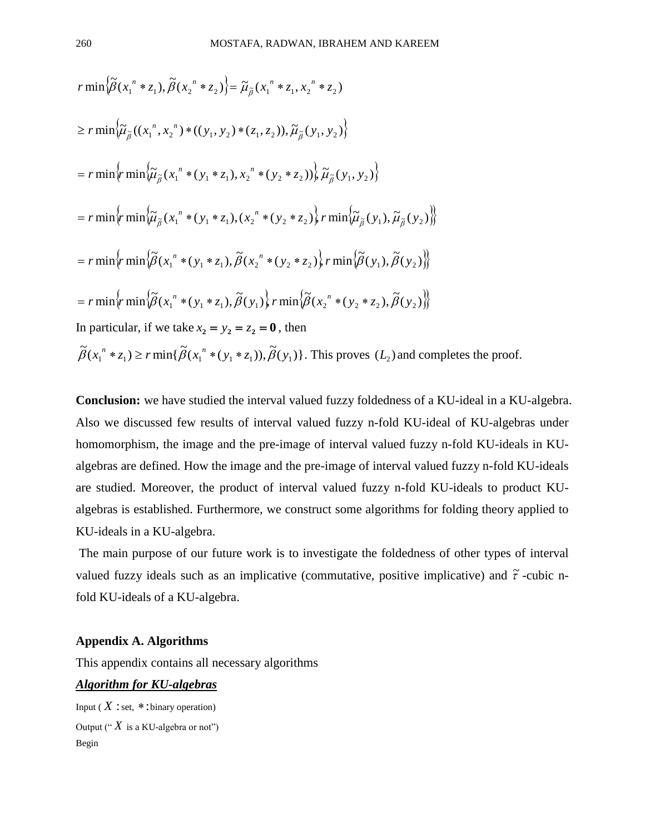$$
r \min \{\tilde{\beta}(x_1^n * z_1), \tilde{\beta}(x_2^n * z_2)\} = \tilde{\mu}_{\tilde{\beta}}(x_1^n * z_1, x_2^n * z_2)
$$
  
\n
$$
\geq r \min \{\tilde{\mu}_{\tilde{\beta}}((x_1^n, x_2^n) * ((y_1, y_2) * (z_1, z_2)), \tilde{\mu}_{\tilde{\beta}}(y_1, y_2)\})
$$
  
\n
$$
= r \min \{r \min \{\tilde{\mu}_{\tilde{\beta}}(x_1^n * (y_1 * z_1), x_2^n * (y_2 * z_2))\} \tilde{\mu}_{\tilde{\beta}}(y_1, y_2)\}
$$
  
\n
$$
= r \min \{r \min \{\tilde{\mu}_{\tilde{\beta}}(x_1^n * (y_1 * z_1), (x_2^n * (y_2 * z_2))\} r \min \{\tilde{\mu}_{\tilde{\beta}}(y_1), \tilde{\mu}_{\tilde{\beta}}(y_2)\})\}
$$
  
\n
$$
= r \min \{r \min \{\tilde{\beta}(x_1^n * (y_1 * z_1), \tilde{\beta}(x_2^n * (y_2 * z_2))\} r \min \{\tilde{\beta}(y_1), \tilde{\beta}(y_2)\})\}
$$
  
\n
$$
= r \min \{r \min \{\tilde{\beta}(x_1^n * (y_1 * z_1), \tilde{\beta}(y_1))\} r \min \{\tilde{\beta}(x_2^n * (y_2 * z_2), \tilde{\beta}(y_2)\})\}
$$
  
\nIn particular, if we take  $x_2 = y_2 = z_2 = 0$ , then  
\n
$$
\tilde{\beta}(x_1^n * z_1) \geq r \min \{\tilde{\beta}(x_1^n * (y_1 * z_1)), \tilde{\beta}(y_1)\}.
$$
 This proves  $(L_2)$  and completes the proof.

**Conclusion:** we have studied the interval valued fuzzy foldedness of a KU-ideal in a KU-algebra. Also we discussed few results of interval valued fuzzy n-fold KU-ideal of KU-algebras under homomorphism, the image and the pre-image of interval valued fuzzy n-fold KU-ideals in KUalgebras are defined. How the image and the pre-image of interval valued fuzzy n-fold KU-ideals are studied. Moreover, the product of interval valued fuzzy n-fold KU-ideals to product KUalgebras is established. Furthermore, we construct some algorithms for folding theory applied to KU-ideals in a KU-algebra.

The main purpose of our future work is to investigate the foldedness of other types of interval valued fuzzy ideals such as an implicative (commutative, positive implicative) and  $\tilde{\tau}$ -cubic nfold KU-ideals of a KU-algebra.

#### **Appendix A. Algorithms**

This appendix contains all necessary algorithms

#### *Algorithm for KU-algebras*

Input ( $X$ : set,  $*$ : binary operation) Output (" $X$  is a KU-algebra or not") Begin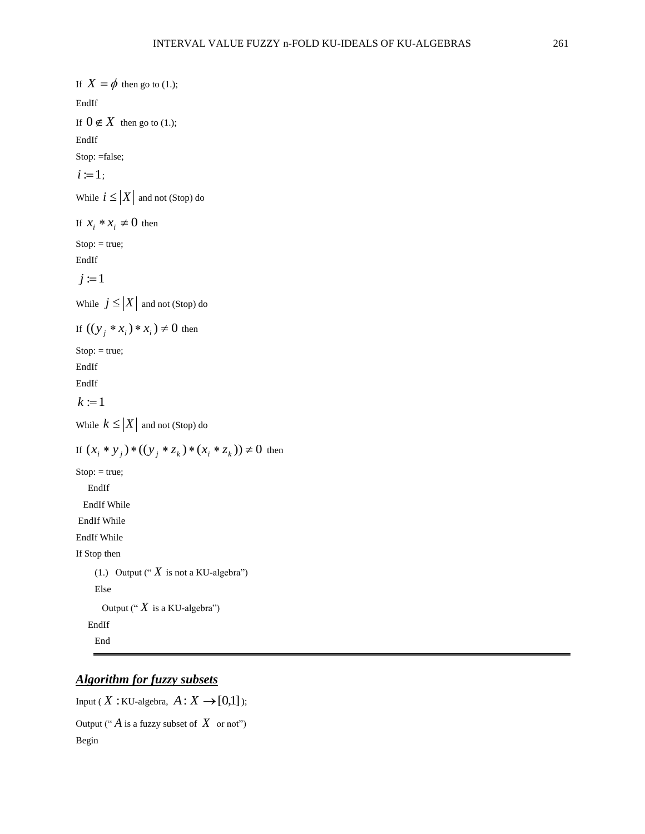If  $X = \phi$  then go to (1.); EndIf If  $0 \notin X$  then go to (1.); EndIf Stop: =false;  $i := 1;$ While  $i \leq |X|$  and not (Stop) do If  $x_i * x_i \neq 0$  then  $Stop: = true;$ EndIf  $j := 1$ While  $j \leq |X|$  and not (Stop) do If  $((y_j * x_i) * x_i) \neq 0$  then  $Stop: = true;$ EndIf EndIf  $k \coloneqq 1$ While  $k \leq |X|$  and not (Stop) do If  $(x_i * y_j) * ((y_j * z_k) * (x_i * z_k)) \neq 0$  then Stop: = true; EndIf EndIf While EndIf While EndIf While If Stop then (1.) Output (" $X$  is not a KU-algebra") Else Output (" $X$  is a KU-algebra") EndIf End

## *Algorithm for fuzzy subsets*

Input ( $X$ : KU-algebra,  $A: X \rightarrow [0,1]$ ); Output (" $\hat{A}$  is a fuzzy subset of  $\hat{X}$  or not") Begin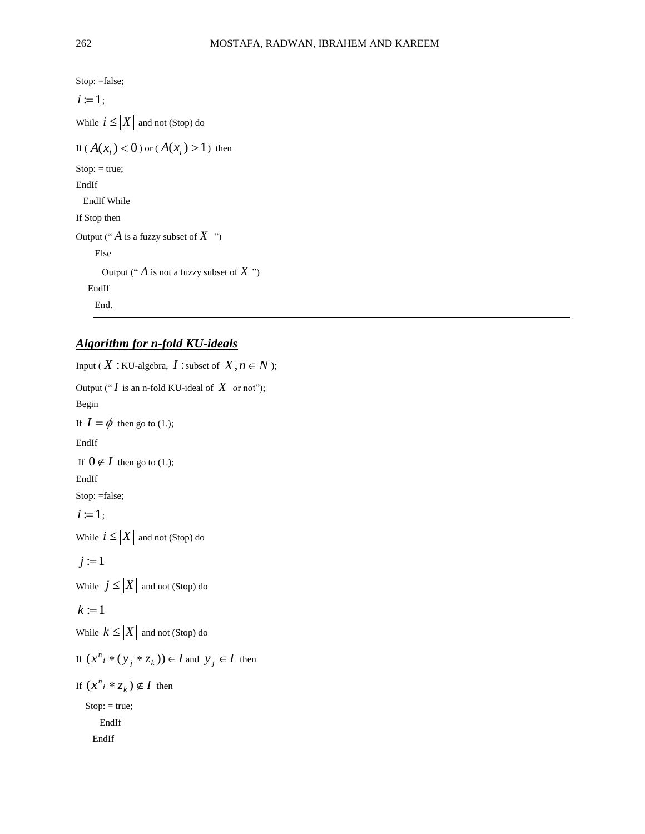Stop: =false;  $i := 1;$ While  $i \leq |X|$  and not (Stop) do If ( $A(x_i) < 0$ ) or ( $A(x_i) > 1$ ) then  $Stop: = true;$ EndIf EndIf While If Stop then Output (" $\hat{A}$  is a fuzzy subset of  $X$ ") Else Output (" *A* is not a fuzzy subset of *X* ") EndIf End.

#### *Algorithm for n-fold KU-ideals*

```
Input ( X : KU-algebra, I : subset of X, n \in N );
Output ("I is an n-fold KU-ideal of X or not");
Begin
If I = \phi then go to (1.);
EndIf
 If 0 \notin I then go to (1.);
EndIf
Stop: =false;
 i := 1;
While i \leq |X| and not (Stop) do
j := 1While j \leq |X| and not (Stop) do
k := 1While k \leq |X| and not (Stop) do
If (x^n_i * (y_j * z_k)) \in I and y_j \in I then
If (x^n_i * z_k) \notin I then
  Stop: = true; EndIf
     EndIf
```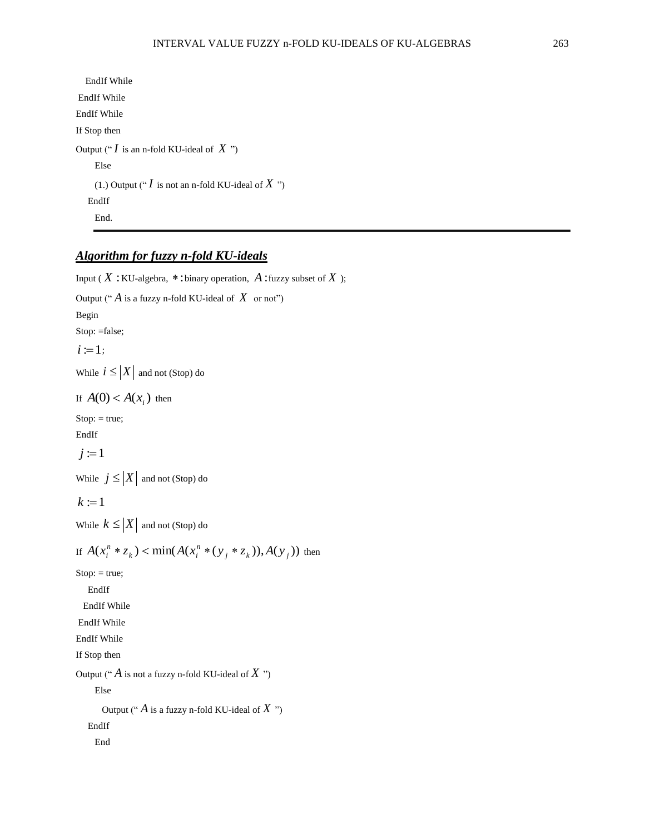```
 EndIf While
EndIf While
EndIf While
If Stop then 
Output ("I is an n-fold KU-ideal of X")
    Else 
     (1.) Output ("I is not an n-fold KU-ideal of X")
    EndIf
     End.
```
## *Algorithm for fuzzy n-fold KU-ideals*

```
Input (X: KU-algebra, *: binary operation, A: fuzzy subset of X);
Output ("\hat{A} is a fuzzy n-fold KU-ideal of \hat{X} or not")
Begin
Stop: =false;
 i := 1;
While i \leq |X| and not (Stop) do
If A(0) < A(x_i) then
Stop: = true;EndIf
j := 1While j \leq |X| and not (Stop) do
k := 1While k \leq |X| and not (Stop) do
If A(x_i^n * z_k) < min(A(x_i^n * (y_j * z_k)), A(y_j))\mathbf{r} \mathbf{r} \mathbf{r} \mathbf{r} \mathbf{r} \mathbf{r} \mathbf{r} \mathbf{r} \mathbf{r} \mathbf{r} \mathbf{r} \mathbf{r} \mathbf{r} \mathbf{r} \mathbf{r} \mathbf{r} \mathbf{r} \mathbf{r} \mathbf{r} \mathbf{r} \mathbf{r} \mathbf{r} \mathbf{r} \mathbf{r} \mathbf{A(x_i^n * z_k) < \min(A(x_i^n * (y_j * z_k)), A(y_j)) then
Stop: = true;
     EndIf
   EndIf While
EndIf While
EndIf While
If Stop then 
Output ("\hat{A} is not a fuzzy n-fold KU-ideal of \hat{X}")
      Else 
        Output ("
A
is a fuzzy n-fold KU-ideal of
X
")
     EndIf
       End
```